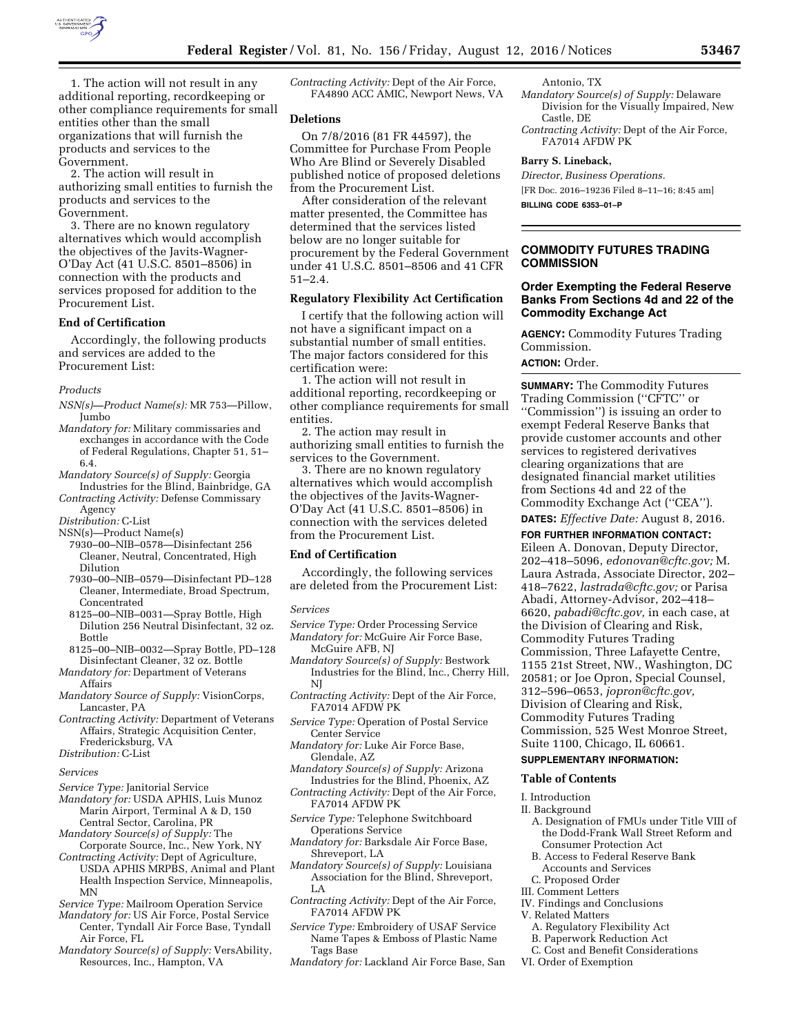

1. The action will not result in any additional reporting, recordkeeping or other compliance requirements for small entities other than the small organizations that will furnish the products and services to the Government.

2. The action will result in authorizing small entities to furnish the products and services to the Government.

3. There are no known regulatory alternatives which would accomplish the objectives of the Javits-Wagner-O'Day Act (41 U.S.C. 8501–8506) in connection with the products and services proposed for addition to the Procurement List.

## **End of Certification**

Accordingly, the following products and services are added to the Procurement List:

#### *Products*

- *NSN(s)—Product Name(s):* MR 753—Pillow, Jumbo
- *Mandatory for:* Military commissaries and exchanges in accordance with the Code of Federal Regulations, Chapter 51, 51– 6.4.
- *Mandatory Source(s) of Supply:* Georgia Industries for the Blind, Bainbridge, GA
- *Contracting Activity:* Defense Commissary Agency
- *Distribution:* C-List
- NSN(s)—Product Name(s)
	- 7930–00–NIB–0578—Disinfectant 256 Cleaner, Neutral, Concentrated, High Dilution
	- 7930–00–NIB–0579—Disinfectant PD–128 Cleaner, Intermediate, Broad Spectrum, Concentrated
	- 8125–00–NIB–0031—Spray Bottle, High Dilution 256 Neutral Disinfectant, 32 oz. Bottle
- 8125–00–NIB–0032—Spray Bottle, PD–128 Disinfectant Cleaner, 32 oz. Bottle
- *Mandatory for:* Department of Veterans Affairs
- *Mandatory Source of Supply:* VisionCorps, Lancaster, PA
- *Contracting Activity:* Department of Veterans Affairs, Strategic Acquisition Center, Fredericksburg, VA

#### *Distribution:* C-List

#### *Services*

- *Service Type:* Janitorial Service
- *Mandatory for:* USDA APHIS, Luis Munoz Marin Airport, Terminal A & D, 150 Central Sector, Carolina, PR
- *Mandatory Source(s) of Supply:* The Corporate Source, Inc., New York, NY
- *Contracting Activity:* Dept of Agriculture, USDA APHIS MRPBS, Animal and Plant Health Inspection Service, Minneapolis, MN
- *Service Type:* Mailroom Operation Service
- *Mandatory for:* US Air Force, Postal Service Center, Tyndall Air Force Base, Tyndall Air Force, FL
- *Mandatory Source(s) of Supply:* VersAbility, Resources, Inc., Hampton, VA

*Contracting Activity:* Dept of the Air Force, FA4890 ACC AMIC, Newport News, VA

#### **Deletions**

On 7/8/2016 (81 FR 44597), the Committee for Purchase From People Who Are Blind or Severely Disabled published notice of proposed deletions from the Procurement List.

After consideration of the relevant matter presented, the Committee has determined that the services listed below are no longer suitable for procurement by the Federal Government under 41 U.S.C. 8501–8506 and 41 CFR 51–2.4.

# **Regulatory Flexibility Act Certification**

I certify that the following action will not have a significant impact on a substantial number of small entities. The major factors considered for this certification were:

1. The action will not result in additional reporting, recordkeeping or other compliance requirements for small entities.

2. The action may result in authorizing small entities to furnish the services to the Government.

3. There are no known regulatory alternatives which would accomplish the objectives of the Javits-Wagner-O'Day Act (41 U.S.C. 8501–8506) in connection with the services deleted from the Procurement List.

#### **End of Certification**

Accordingly, the following services are deleted from the Procurement List:

#### *Services*

- *Service Type:* Order Processing Service *Mandatory for:* McGuire Air Force Base,
	- McGuire AFB, NJ

*Mandatory Source(s) of Supply:* Bestwork Industries for the Blind, Inc., Cherry Hill, NJ

*Contracting Activity:* Dept of the Air Force, FA7014 AFDW PK

*Service Type:* Operation of Postal Service Center Service

- *Mandatory for:* Luke Air Force Base, Glendale, AZ
- *Mandatory Source(s) of Supply:* Arizona Industries for the Blind, Phoenix, AZ
- *Contracting Activity:* Dept of the Air Force, FA7014 AFDW PK
- *Service Type:* Telephone Switchboard Operations Service
- *Mandatory for:* Barksdale Air Force Base, Shreveport, LA

*Mandatory Source(s) of Supply:* Louisiana Association for the Blind, Shreveport, LA

*Contracting Activity:* Dept of the Air Force, FA7014 AFDW PK

- *Service Type:* Embroidery of USAF Service Name Tapes & Emboss of Plastic Name Tags Base
- *Mandatory for:* Lackland Air Force Base, San
- Antonio, TX
- *Mandatory Source(s) of Supply:* Delaware Division for the Visually Impaired, New Castle, DE
- *Contracting Activity:* Dept of the Air Force, FA7014 AFDW PK

#### **Barry S. Lineback,**

*Director, Business Operations.*  [FR Doc. 2016–19236 Filed 8–11–16; 8:45 am] **BILLING CODE 6353–01–P** 

# **COMMODITY FUTURES TRADING COMMISSION**

# **Order Exempting the Federal Reserve Banks From Sections 4d and 22 of the Commodity Exchange Act**

**AGENCY:** Commodity Futures Trading Commission.

# **ACTION:** Order.

**SUMMARY:** The Commodity Futures Trading Commission (''CFTC'' or ''Commission'') is issuing an order to exempt Federal Reserve Banks that provide customer accounts and other services to registered derivatives clearing organizations that are designated financial market utilities from Sections 4d and 22 of the Commodity Exchange Act (''CEA''). **DATES:** *Effective Date:* August 8, 2016.

# **FOR FURTHER INFORMATION CONTACT:**

Eileen A. Donovan, Deputy Director, 202–418–5096, *[edonovan@cftc.gov;](mailto:edonovan@cftc.gov)* M. Laura Astrada, Associate Director, 202– 418–7622, *[lastrada@cftc.gov;](mailto:lastrada@cftc.gov)* or Parisa Abadi, Attorney-Advisor, 202–418– 6620, *[pabadi@cftc.gov,](mailto:pabadi@cftc.gov)* in each case, at the Division of Clearing and Risk, Commodity Futures Trading Commission, Three Lafayette Centre, 1155 21st Street, NW., Washington, DC 20581; or Joe Opron, Special Counsel, 312–596–0653, *[jopron@cftc.gov,](mailto:jopron@cftc.gov)*  Division of Clearing and Risk, Commodity Futures Trading Commission, 525 West Monroe Street, Suite 1100, Chicago, IL 60661.

## **SUPPLEMENTARY INFORMATION:**

#### **Table of Contents**

#### I. Introduction

- II. Background
	- A. Designation of FMUs under Title VIII of the Dodd-Frank Wall Street Reform and Consumer Protection Act
	- B. Access to Federal Reserve Bank
	- Accounts and Services
- C. Proposed Order
- III. Comment Letters
- IV. Findings and Conclusions
- V. Related Matters
	- A. Regulatory Flexibility Act
	- B. Paperwork Reduction Act
	- C. Cost and Benefit Considerations
- VI. Order of Exemption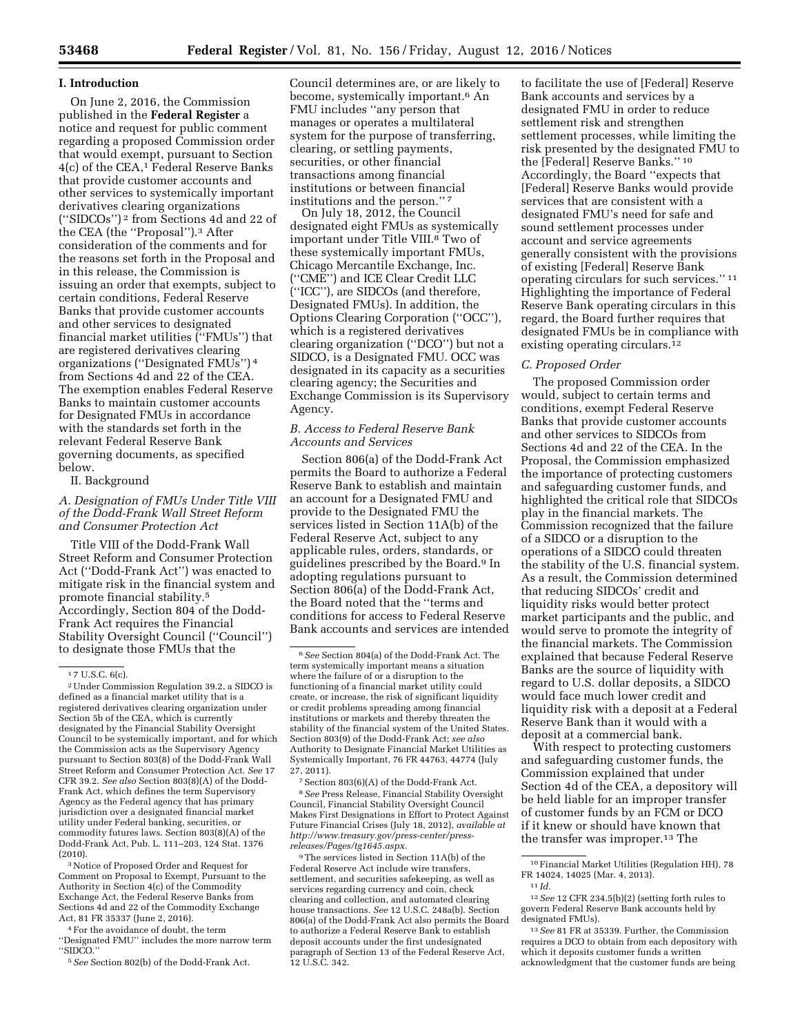## **I. Introduction**

On June 2, 2016, the Commission published in the **Federal Register** a notice and request for public comment regarding a proposed Commission order that would exempt, pursuant to Section 4(c) of the CEA,1 Federal Reserve Banks that provide customer accounts and other services to systemically important derivatives clearing organizations (''SIDCOs'') 2 from Sections 4d and 22 of the CEA (the ''Proposal'').3 After consideration of the comments and for the reasons set forth in the Proposal and in this release, the Commission is issuing an order that exempts, subject to certain conditions, Federal Reserve Banks that provide customer accounts and other services to designated financial market utilities (''FMUs'') that are registered derivatives clearing organizations (''Designated FMUs'') 4 from Sections 4d and 22 of the CEA. The exemption enables Federal Reserve Banks to maintain customer accounts for Designated FMUs in accordance with the standards set forth in the relevant Federal Reserve Bank governing documents, as specified below.

# II. Background

# *A. Designation of FMUs Under Title VIII of the Dodd-Frank Wall Street Reform and Consumer Protection Act*

Title VIII of the Dodd-Frank Wall Street Reform and Consumer Protection Act (''Dodd-Frank Act'') was enacted to mitigate risk in the financial system and promote financial stability.5 Accordingly, Section 804 of the Dodd-Frank Act requires the Financial Stability Oversight Council (''Council'') to designate those FMUs that the

3Notice of Proposed Order and Request for Comment on Proposal to Exempt, Pursuant to the Authority in Section 4(c) of the Commodity Exchange Act, the Federal Reserve Banks from Sections 4d and 22 of the Commodity Exchange Act, 81 FR 35337 (June 2, 2016).

4For the avoidance of doubt, the term ''Designated FMU'' includes the more narrow term ''SIDCO.''

5*See* Section 802(b) of the Dodd-Frank Act.

Council determines are, or are likely to become, systemically important.6 An FMU includes ''any person that manages or operates a multilateral system for the purpose of transferring, clearing, or settling payments, securities, or other financial transactions among financial institutions or between financial institutions and the person."<sup>7</sup>

On July 18, 2012, the Council designated eight FMUs as systemically important under Title VIII.8 Two of these systemically important FMUs, Chicago Mercantile Exchange, Inc. (''CME'') and ICE Clear Credit LLC (''ICC''), are SIDCOs (and therefore, Designated FMUs). In addition, the Options Clearing Corporation (''OCC''), which is a registered derivatives clearing organization (''DCO'') but not a SIDCO, is a Designated FMU. OCC was designated in its capacity as a securities clearing agency; the Securities and Exchange Commission is its Supervisory Agency.

# *B. Access to Federal Reserve Bank Accounts and Services*

Section 806(a) of the Dodd-Frank Act permits the Board to authorize a Federal Reserve Bank to establish and maintain an account for a Designated FMU and provide to the Designated FMU the services listed in Section 11A(b) of the Federal Reserve Act, subject to any applicable rules, orders, standards, or guidelines prescribed by the Board.9 In adopting regulations pursuant to Section 806(a) of the Dodd-Frank Act, the Board noted that the ''terms and conditions for access to Federal Reserve Bank accounts and services are intended

7Section 803(6)(A) of the Dodd-Frank Act. 8*See* Press Release, Financial Stability Oversight Council, Financial Stability Oversight Council Makes First Designations in Effort to Protect Against Future Financial Crises (July 18, 2012), *available at [http://www.treasury.gov/press-center/press](http://www.treasury.gov/press-center/press-releases/Pages/tg1645.aspx)[releases/Pages/tg1645.aspx.](http://www.treasury.gov/press-center/press-releases/Pages/tg1645.aspx)* 

9The services listed in Section 11A(b) of the Federal Reserve Act include wire transfers, settlement, and securities safekeeping, as well as services regarding currency and coin, check clearing and collection, and automated clearing house transactions. *See* 12 U.S.C. 248a(b). Section 806(a) of the Dodd-Frank Act also permits the Board to authorize a Federal Reserve Bank to establish deposit accounts under the first undesignated paragraph of Section 13 of the Federal Reserve Act, 12 U.S.C. 342.

to facilitate the use of [Federal] Reserve Bank accounts and services by a designated FMU in order to reduce settlement risk and strengthen settlement processes, while limiting the risk presented by the designated FMU to the [Federal] Reserve Banks.'' 10 Accordingly, the Board ''expects that [Federal] Reserve Banks would provide services that are consistent with a designated FMU's need for safe and sound settlement processes under account and service agreements generally consistent with the provisions of existing [Federal] Reserve Bank operating circulars for such services.'' 11 Highlighting the importance of Federal Reserve Bank operating circulars in this regard, the Board further requires that designated FMUs be in compliance with existing operating circulars.12

# *C. Proposed Order*

The proposed Commission order would, subject to certain terms and conditions, exempt Federal Reserve Banks that provide customer accounts and other services to SIDCOs from Sections 4d and 22 of the CEA. In the Proposal, the Commission emphasized the importance of protecting customers and safeguarding customer funds, and highlighted the critical role that SIDCOs play in the financial markets. The Commission recognized that the failure of a SIDCO or a disruption to the operations of a SIDCO could threaten the stability of the U.S. financial system. As a result, the Commission determined that reducing SIDCOs' credit and liquidity risks would better protect market participants and the public, and would serve to promote the integrity of the financial markets. The Commission explained that because Federal Reserve Banks are the source of liquidity with regard to U.S. dollar deposits, a SIDCO would face much lower credit and liquidity risk with a deposit at a Federal Reserve Bank than it would with a deposit at a commercial bank.

With respect to protecting customers and safeguarding customer funds, the Commission explained that under Section 4d of the CEA, a depository will be held liable for an improper transfer of customer funds by an FCM or DCO if it knew or should have known that the transfer was improper.13 The

12*See* 12 CFR 234.5(b)(2) (setting forth rules to govern Federal Reserve Bank accounts held by designated FMUs).

 $17$  U.S.C.  $6(c)$ .

<sup>2</sup>Under Commission Regulation 39.2, a SIDCO is defined as a financial market utility that is a registered derivatives clearing organization under Section 5b of the CEA, which is currently designated by the Financial Stability Oversight Council to be systemically important, and for which the Commission acts as the Supervisory Agency pursuant to Section 803(8) of the Dodd-Frank Wall Street Reform and Consumer Protection Act. *See* 17 CFR 39.2. *See also* Section 803(8)(A) of the Dodd-Frank Act, which defines the term Supervisory Agency as the Federal agency that has primary jurisdiction over a designated financial market utility under Federal banking, securities, or commodity futures laws. Section 803(8)(A) of the Dodd-Frank Act, Pub. L. 111–203, 124 Stat. 1376 (2010).

<sup>6</sup>*See* Section 804(a) of the Dodd-Frank Act. The term systemically important means a situation where the failure of or a disruption to the functioning of a financial market utility could create, or increase, the risk of significant liquidity or credit problems spreading among financial institutions or markets and thereby threaten the stability of the financial system of the United States. Section 803(9) of the Dodd-Frank Act; *see also*  Authority to Designate Financial Market Utilities as Systemically Important, 76 FR 44763, 44774 (July 27, 2011).

<sup>10</sup>Financial Market Utilities (Regulation HH), 78 FR 14024, 14025 (Mar. 4, 2013). 11 *Id.* 

<sup>13</sup>*See* 81 FR at 35339. Further, the Commission requires a DCO to obtain from each depository with which it deposits customer funds a written acknowledgment that the customer funds are being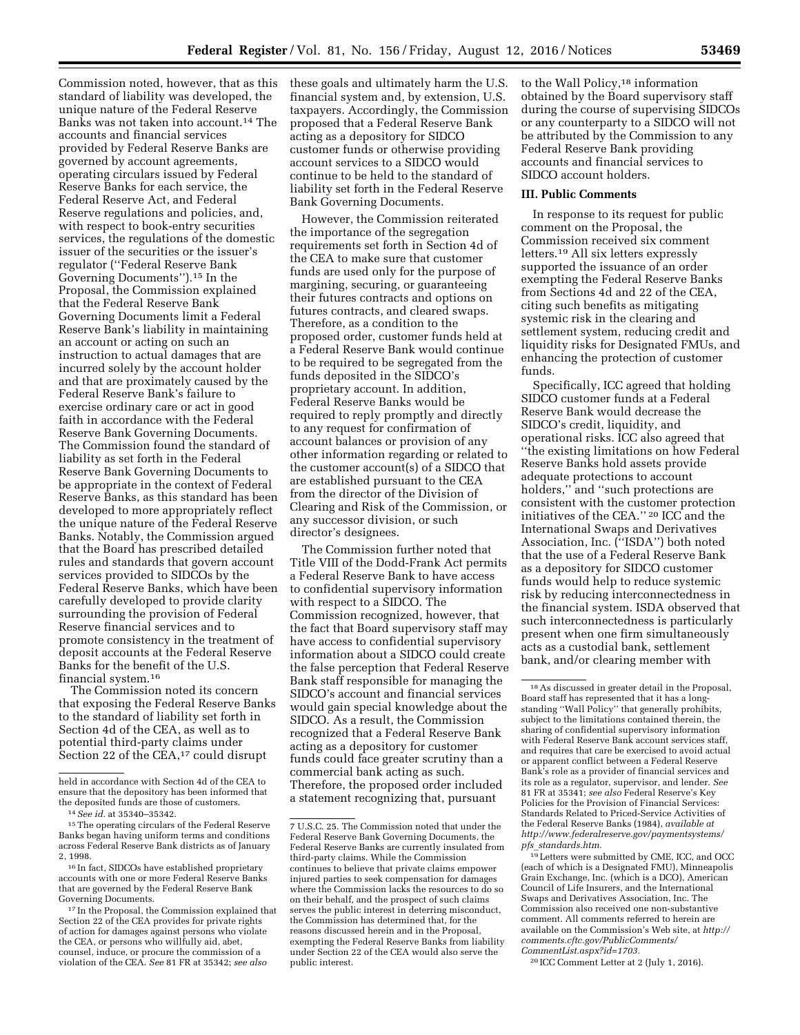Commission noted, however, that as this standard of liability was developed, the unique nature of the Federal Reserve Banks was not taken into account.14 The accounts and financial services provided by Federal Reserve Banks are governed by account agreements, operating circulars issued by Federal Reserve Banks for each service, the Federal Reserve Act, and Federal Reserve regulations and policies, and, with respect to book-entry securities services, the regulations of the domestic issuer of the securities or the issuer's regulator (''Federal Reserve Bank Governing Documents'').15 In the Proposal, the Commission explained that the Federal Reserve Bank Governing Documents limit a Federal Reserve Bank's liability in maintaining an account or acting on such an instruction to actual damages that are incurred solely by the account holder and that are proximately caused by the Federal Reserve Bank's failure to exercise ordinary care or act in good faith in accordance with the Federal Reserve Bank Governing Documents. The Commission found the standard of liability as set forth in the Federal Reserve Bank Governing Documents to be appropriate in the context of Federal Reserve Banks, as this standard has been developed to more appropriately reflect the unique nature of the Federal Reserve Banks. Notably, the Commission argued that the Board has prescribed detailed rules and standards that govern account services provided to SIDCOs by the Federal Reserve Banks, which have been carefully developed to provide clarity surrounding the provision of Federal Reserve financial services and to promote consistency in the treatment of deposit accounts at the Federal Reserve Banks for the benefit of the U.S. financial system.16

The Commission noted its concern that exposing the Federal Reserve Banks to the standard of liability set forth in Section 4d of the CEA, as well as to potential third-party claims under Section 22 of the CEA,<sup>17</sup> could disrupt

these goals and ultimately harm the U.S. financial system and, by extension, U.S. taxpayers. Accordingly, the Commission proposed that a Federal Reserve Bank acting as a depository for SIDCO customer funds or otherwise providing account services to a SIDCO would continue to be held to the standard of liability set forth in the Federal Reserve Bank Governing Documents.

However, the Commission reiterated the importance of the segregation requirements set forth in Section 4d of the CEA to make sure that customer funds are used only for the purpose of margining, securing, or guaranteeing their futures contracts and options on futures contracts, and cleared swaps. Therefore, as a condition to the proposed order, customer funds held at a Federal Reserve Bank would continue to be required to be segregated from the funds deposited in the SIDCO's proprietary account. In addition, Federal Reserve Banks would be required to reply promptly and directly to any request for confirmation of account balances or provision of any other information regarding or related to the customer account(s) of a SIDCO that are established pursuant to the CEA from the director of the Division of Clearing and Risk of the Commission, or any successor division, or such director's designees.

The Commission further noted that Title VIII of the Dodd-Frank Act permits a Federal Reserve Bank to have access to confidential supervisory information with respect to a SIDCO. The Commission recognized, however, that the fact that Board supervisory staff may have access to confidential supervisory information about a SIDCO could create the false perception that Federal Reserve Bank staff responsible for managing the SIDCO's account and financial services would gain special knowledge about the SIDCO. As a result, the Commission recognized that a Federal Reserve Bank acting as a depository for customer funds could face greater scrutiny than a commercial bank acting as such. Therefore, the proposed order included a statement recognizing that, pursuant

to the Wall Policy,<sup>18</sup> information obtained by the Board supervisory staff during the course of supervising SIDCOs or any counterparty to a SIDCO will not be attributed by the Commission to any Federal Reserve Bank providing accounts and financial services to SIDCO account holders.

## **III. Public Comments**

In response to its request for public comment on the Proposal, the Commission received six comment letters.19 All six letters expressly supported the issuance of an order exempting the Federal Reserve Banks from Sections 4d and 22 of the CEA, citing such benefits as mitigating systemic risk in the clearing and settlement system, reducing credit and liquidity risks for Designated FMUs, and enhancing the protection of customer funds.

Specifically, ICC agreed that holding SIDCO customer funds at a Federal Reserve Bank would decrease the SIDCO's credit, liquidity, and operational risks. ICC also agreed that ''the existing limitations on how Federal Reserve Banks hold assets provide adequate protections to account holders,'' and ''such protections are consistent with the customer protection initiatives of the CEA.'' 20 ICC and the International Swaps and Derivatives Association, Inc. (''ISDA'') both noted that the use of a Federal Reserve Bank as a depository for SIDCO customer funds would help to reduce systemic risk by reducing interconnectedness in the financial system. ISDA observed that such interconnectedness is particularly present when one firm simultaneously acts as a custodial bank, settlement bank, and/or clearing member with

20 ICC Comment Letter at 2 (July 1, 2016).

held in accordance with Section 4d of the CEA to ensure that the depository has been informed that the deposited funds are those of customers.

<sup>14</sup>*See id.* at 35340–35342.

<sup>&</sup>lt;sup>15</sup> The operating circulars of the Federal Reserve Banks began having uniform terms and conditions across Federal Reserve Bank districts as of January 2, 1998.

<sup>16</sup> In fact, SIDCOs have established proprietary accounts with one or more Federal Reserve Banks that are governed by the Federal Reserve Bank Governing Documents.

<sup>17</sup> In the Proposal, the Commission explained that Section 22 of the CEA provides for private rights of action for damages against persons who violate the CEA, or persons who willfully aid, abet, counsel, induce, or procure the commission of a violation of the CEA. *See* 81 FR at 35342; *see also* 

<sup>7</sup> U.S.C. 25. The Commission noted that under the Federal Reserve Bank Governing Documents, the Federal Reserve Banks are currently insulated from third-party claims. While the Commission continues to believe that private claims empower injured parties to seek compensation for damages where the Commission lacks the resources to do so on their behalf, and the prospect of such claims serves the public interest in deterring misconduct, the Commission has determined that, for the reasons discussed herein and in the Proposal, exempting the Federal Reserve Banks from liability under Section 22 of the CEA would also serve the public interest.

<sup>18</sup>As discussed in greater detail in the Proposal, Board staff has represented that it has a longstanding "Wall Policy" that generally prohibits, subject to the limitations contained therein, the sharing of confidential supervisory information with Federal Reserve Bank account services staff, and requires that care be exercised to avoid actual or apparent conflict between a Federal Reserve Bank's role as a provider of financial services and its role as a regulator, supervisor, and lender. *See*  81 FR at 35341; *see also* Federal Reserve's Key Policies for the Provision of Financial Services: Standards Related to Priced-Service Activities of the Federal Reserve Banks (1984), *available at [http://www.federalreserve.gov/paymentsystems/](http://www.federalreserve.gov/paymentsystems/pfs_standards.htm) pfs*\_*[standards.htm.](http://www.federalreserve.gov/paymentsystems/pfs_standards.htm)* 

<sup>19</sup>Letters were submitted by CME, ICC, and OCC (each of which is a Designated FMU), Minneapolis Grain Exchange, Inc. (which is a DCO), American Council of Life Insurers, and the International Swaps and Derivatives Association, Inc. The Commission also received one non-substantive comment. All comments referred to herein are available on the Commission's Web site, at *[http://](http://comments.cftc.gov/PublicComments/CommentList.aspx?id=1703)  [comments.cftc.gov/PublicComments/](http://comments.cftc.gov/PublicComments/CommentList.aspx?id=1703) [CommentList.aspx?id=1703.](http://comments.cftc.gov/PublicComments/CommentList.aspx?id=1703)*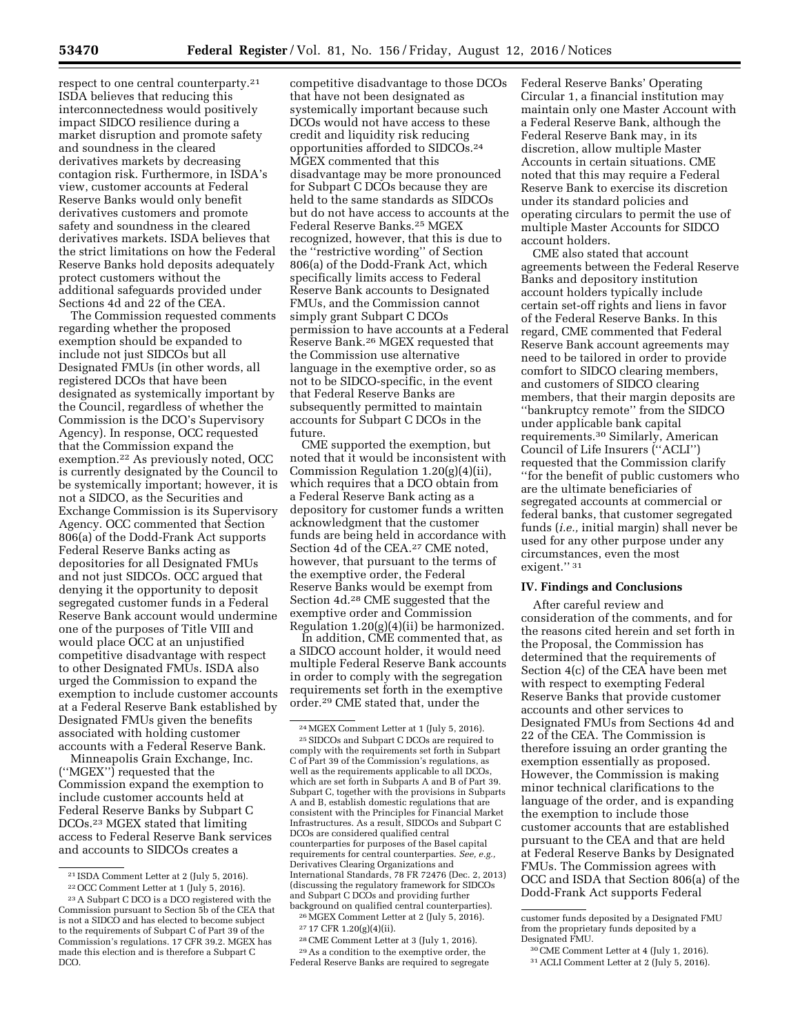respect to one central counterparty.21 ISDA believes that reducing this interconnectedness would positively impact SIDCO resilience during a market disruption and promote safety and soundness in the cleared derivatives markets by decreasing contagion risk. Furthermore, in ISDA's view, customer accounts at Federal Reserve Banks would only benefit derivatives customers and promote safety and soundness in the cleared derivatives markets. ISDA believes that the strict limitations on how the Federal Reserve Banks hold deposits adequately protect customers without the additional safeguards provided under Sections 4d and 22 of the CEA.

The Commission requested comments regarding whether the proposed exemption should be expanded to include not just SIDCOs but all Designated FMUs (in other words, all registered DCOs that have been designated as systemically important by the Council, regardless of whether the Commission is the DCO's Supervisory Agency). In response, OCC requested that the Commission expand the exemption.22 As previously noted, OCC is currently designated by the Council to be systemically important; however, it is not a SIDCO, as the Securities and Exchange Commission is its Supervisory Agency. OCC commented that Section 806(a) of the Dodd-Frank Act supports Federal Reserve Banks acting as depositories for all Designated FMUs and not just SIDCOs. OCC argued that denying it the opportunity to deposit segregated customer funds in a Federal Reserve Bank account would undermine one of the purposes of Title VIII and would place OCC at an unjustified competitive disadvantage with respect to other Designated FMUs. ISDA also urged the Commission to expand the exemption to include customer accounts at a Federal Reserve Bank established by Designated FMUs given the benefits associated with holding customer accounts with a Federal Reserve Bank.

Minneapolis Grain Exchange, Inc. (''MGEX'') requested that the Commission expand the exemption to include customer accounts held at Federal Reserve Banks by Subpart C DCOs.23 MGEX stated that limiting access to Federal Reserve Bank services and accounts to SIDCOs creates a

21 ISDA Comment Letter at 2 (July 5, 2016).

22OCC Comment Letter at 1 (July 5, 2016).

competitive disadvantage to those DCOs that have not been designated as systemically important because such DCOs would not have access to these credit and liquidity risk reducing opportunities afforded to SIDCOs.24 MGEX commented that this disadvantage may be more pronounced for Subpart C DCOs because they are held to the same standards as SIDCOs but do not have access to accounts at the Federal Reserve Banks.25 MGEX recognized, however, that this is due to the ''restrictive wording'' of Section 806(a) of the Dodd-Frank Act, which specifically limits access to Federal Reserve Bank accounts to Designated FMUs, and the Commission cannot simply grant Subpart C DCOs permission to have accounts at a Federal Reserve Bank.26 MGEX requested that the Commission use alternative language in the exemptive order, so as not to be SIDCO-specific, in the event that Federal Reserve Banks are subsequently permitted to maintain accounts for Subpart C DCOs in the future.

CME supported the exemption, but noted that it would be inconsistent with Commission Regulation 1.20(g)(4)(ii), which requires that a DCO obtain from a Federal Reserve Bank acting as a depository for customer funds a written acknowledgment that the customer funds are being held in accordance with Section 4d of the CEA.27 CME noted, however, that pursuant to the terms of the exemptive order, the Federal Reserve Banks would be exempt from Section 4d.28 CME suggested that the exemptive order and Commission Regulation 1.20(g)(4)(ii) be harmonized.

In addition, CME commented that, as a SIDCO account holder, it would need multiple Federal Reserve Bank accounts in order to comply with the segregation requirements set forth in the exemptive order.29 CME stated that, under the

26MGEX Comment Letter at 2 (July 5, 2016). 27 17 CFR 1.20(g)(4)(ii).

28CME Comment Letter at 3 (July 1, 2016).

29As a condition to the exemptive order, the Federal Reserve Banks are required to segregate Federal Reserve Banks' Operating Circular 1, a financial institution may maintain only one Master Account with a Federal Reserve Bank, although the Federal Reserve Bank may, in its discretion, allow multiple Master Accounts in certain situations. CME noted that this may require a Federal Reserve Bank to exercise its discretion under its standard policies and operating circulars to permit the use of multiple Master Accounts for SIDCO account holders.

CME also stated that account agreements between the Federal Reserve Banks and depository institution account holders typically include certain set-off rights and liens in favor of the Federal Reserve Banks. In this regard, CME commented that Federal Reserve Bank account agreements may need to be tailored in order to provide comfort to SIDCO clearing members, and customers of SIDCO clearing members, that their margin deposits are ''bankruptcy remote'' from the SIDCO under applicable bank capital requirements.30 Similarly, American Council of Life Insurers (''ACLI'') requested that the Commission clarify ''for the benefit of public customers who are the ultimate beneficiaries of segregated accounts at commercial or federal banks, that customer segregated funds (*i.e.,* initial margin) shall never be used for any other purpose under any circumstances, even the most exigent." 31

# **IV. Findings and Conclusions**

After careful review and consideration of the comments, and for the reasons cited herein and set forth in the Proposal, the Commission has determined that the requirements of Section 4(c) of the CEA have been met with respect to exempting Federal Reserve Banks that provide customer accounts and other services to Designated FMUs from Sections 4d and 22 of the CEA. The Commission is therefore issuing an order granting the exemption essentially as proposed. However, the Commission is making minor technical clarifications to the language of the order, and is expanding the exemption to include those customer accounts that are established pursuant to the CEA and that are held at Federal Reserve Banks by Designated FMUs. The Commission agrees with OCC and ISDA that Section 806(a) of the Dodd-Frank Act supports Federal

<sup>23</sup>A Subpart C DCO is a DCO registered with the Commission pursuant to Section 5b of the CEA that is not a SIDCO and has elected to become subject to the requirements of Subpart C of Part 39 of the Commission's regulations. 17 CFR 39.2. MGEX has made this election and is therefore a Subpart C DCO.

 $^{24}$  MGEX Comment Letter at 1 (July 5, 2016).  $^{25}$  SIDCOs and Subpart C DCOs are required to comply with the requirements set forth in Subpart C of Part 39 of the Commission's regulations, as well as the requirements applicable to all DCOs, which are set forth in Subparts A and B of Part 39. Subpart C, together with the provisions in Subparts A and B, establish domestic regulations that are consistent with the Principles for Financial Market Infrastructures. As a result, SIDCOs and Subpart C DCOs are considered qualified central counterparties for purposes of the Basel capital requirements for central counterparties. *See, e.g.,*  Derivatives Clearing Organizations and International Standards, 78 FR 72476 (Dec. 2, 2013) (discussing the regulatory framework for SIDCOs and Subpart C DCOs and providing further background on qualified central counterparties).

customer funds deposited by a Designated FMU from the proprietary funds deposited by a Designated FMU.

<sup>30</sup>CME Comment Letter at 4 (July 1, 2016).

<sup>31</sup>ACLI Comment Letter at 2 (July 5, 2016).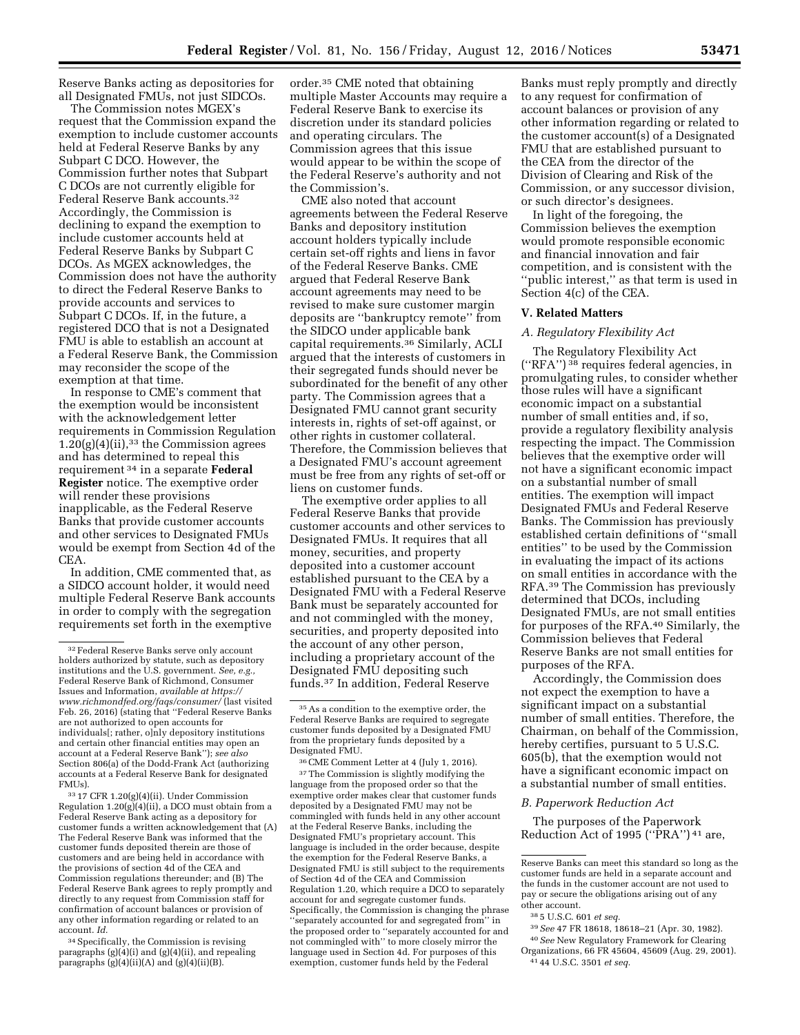Reserve Banks acting as depositories for all Designated FMUs, not just SIDCOs.

The Commission notes MGEX's request that the Commission expand the exemption to include customer accounts held at Federal Reserve Banks by any Subpart C DCO. However, the Commission further notes that Subpart C DCOs are not currently eligible for Federal Reserve Bank accounts.32 Accordingly, the Commission is declining to expand the exemption to include customer accounts held at Federal Reserve Banks by Subpart C DCOs. As MGEX acknowledges, the Commission does not have the authority to direct the Federal Reserve Banks to provide accounts and services to Subpart C DCOs. If, in the future, a registered DCO that is not a Designated FMU is able to establish an account at a Federal Reserve Bank, the Commission may reconsider the scope of the exemption at that time.

In response to CME's comment that the exemption would be inconsistent with the acknowledgement letter requirements in Commission Regulation  $1.20(g)(4)(ii)$ ,<sup>33</sup> the Commission agrees and has determined to repeal this requirement 34 in a separate **Federal Register** notice. The exemptive order will render these provisions inapplicable, as the Federal Reserve Banks that provide customer accounts and other services to Designated FMUs would be exempt from Section 4d of the CEA.

In addition, CME commented that, as a SIDCO account holder, it would need multiple Federal Reserve Bank accounts in order to comply with the segregation requirements set forth in the exemptive

33 17 CFR 1.20(g)(4)(ii). Under Commission Regulation 1.20(g)(4)(ii), a DCO must obtain from a Federal Reserve Bank acting as a depository for customer funds a written acknowledgement that (A) The Federal Reserve Bank was informed that the customer funds deposited therein are those of customers and are being held in accordance with the provisions of section 4d of the CEA and Commission regulations thereunder; and (B) The Federal Reserve Bank agrees to reply promptly and directly to any request from Commission staff for confirmation of account balances or provision of any other information regarding or related to an account. *Id.* 

34Specifically, the Commission is revising paragraphs  $(g)(4)(i)$  and  $(g)(4)(ii)$ , and repealing paragraphs (g)(4)(ii)(A) and (g)(4)(ii)(B).

order.35 CME noted that obtaining multiple Master Accounts may require a Federal Reserve Bank to exercise its discretion under its standard policies and operating circulars. The Commission agrees that this issue would appear to be within the scope of the Federal Reserve's authority and not the Commission's.

CME also noted that account agreements between the Federal Reserve Banks and depository institution account holders typically include certain set-off rights and liens in favor of the Federal Reserve Banks. CME argued that Federal Reserve Bank account agreements may need to be revised to make sure customer margin deposits are ''bankruptcy remote'' from the SIDCO under applicable bank capital requirements.36 Similarly, ACLI argued that the interests of customers in their segregated funds should never be subordinated for the benefit of any other party. The Commission agrees that a Designated FMU cannot grant security interests in, rights of set-off against, or other rights in customer collateral. Therefore, the Commission believes that a Designated FMU's account agreement must be free from any rights of set-off or liens on customer funds.

The exemptive order applies to all Federal Reserve Banks that provide customer accounts and other services to Designated FMUs. It requires that all money, securities, and property deposited into a customer account established pursuant to the CEA by a Designated FMU with a Federal Reserve Bank must be separately accounted for and not commingled with the money, securities, and property deposited into the account of any other person, including a proprietary account of the Designated FMU depositing such funds.37 In addition, Federal Reserve

36CME Comment Letter at 4 (July 1, 2016). 37The Commission is slightly modifying the language from the proposed order so that the exemptive order makes clear that customer funds deposited by a Designated FMU may not be commingled with funds held in any other account at the Federal Reserve Banks, including the Designated FMU's proprietary account. This language is included in the order because, despite the exemption for the Federal Reserve Banks, a Designated FMU is still subject to the requirements of Section 4d of the CEA and Commission Regulation 1.20, which require a DCO to separately account for and segregate customer funds. Specifically, the Commission is changing the phrase ''separately accounted for and segregated from'' in the proposed order to ''separately accounted for and not commingled with'' to more closely mirror the language used in Section 4d. For purposes of this exemption, customer funds held by the Federal

Banks must reply promptly and directly to any request for confirmation of account balances or provision of any other information regarding or related to the customer account(s) of a Designated FMU that are established pursuant to the CEA from the director of the Division of Clearing and Risk of the Commission, or any successor division, or such director's designees.

In light of the foregoing, the Commission believes the exemption would promote responsible economic and financial innovation and fair competition, and is consistent with the ''public interest,'' as that term is used in Section 4(c) of the CEA.

#### **V. Related Matters**

#### *A. Regulatory Flexibility Act*

The Regulatory Flexibility Act (''RFA'') 38 requires federal agencies, in promulgating rules, to consider whether those rules will have a significant economic impact on a substantial number of small entities and, if so, provide a regulatory flexibility analysis respecting the impact. The Commission believes that the exemptive order will not have a significant economic impact on a substantial number of small entities. The exemption will impact Designated FMUs and Federal Reserve Banks. The Commission has previously established certain definitions of ''small entities'' to be used by the Commission in evaluating the impact of its actions on small entities in accordance with the RFA.39 The Commission has previously determined that DCOs, including Designated FMUs, are not small entities for purposes of the RFA.40 Similarly, the Commission believes that Federal Reserve Banks are not small entities for purposes of the RFA.

Accordingly, the Commission does not expect the exemption to have a significant impact on a substantial number of small entities. Therefore, the Chairman, on behalf of the Commission, hereby certifies, pursuant to 5 U.S.C. 605(b), that the exemption would not have a significant economic impact on a substantial number of small entities.

#### *B. Paperwork Reduction Act*

The purposes of the Paperwork Reduction Act of 1995 (''PRA'') 41 are,

Reserve Banks can meet this standard so long as the customer funds are held in a separate account and the funds in the customer account are not used to pay or secure the obligations arising out of any other account.

- 39*See* 47 FR 18618, 18618–21 (Apr. 30, 1982).
- 40*See* New Regulatory Framework for Clearing Organizations, 66 FR 45604, 45609 (Aug. 29, 2001). 41 44 U.S.C. 3501 *et seq.*

<sup>32</sup>Federal Reserve Banks serve only account holders authorized by statute, such as depository institutions and the U.S. government. *See, e.g.,*  Federal Reserve Bank of Richmond, Consumer Issues and Information, *available at [https://](https://www.richmondfed.org/faqs/consumer/) [www.richmondfed.org/faqs/consumer/](https://www.richmondfed.org/faqs/consumer/)* (last visited Feb. 26, 2016) (stating that ''Federal Reserve Banks are not authorized to open accounts for individuals[; rather, o]nly depository institutions and certain other financial entities may open an account at a Federal Reserve Bank''); *see also*  Section 806(a) of the Dodd-Frank Act (authorizing accounts at a Federal Reserve Bank for designated FMUs).

 $^{\rm 35}\, \rm As$  a condition to the exemptive order, the Federal Reserve Banks are required to segregate customer funds deposited by a Designated FMU from the proprietary funds deposited by a Designated FMU.

<sup>38</sup> 5 U.S.C. 601 *et seq.*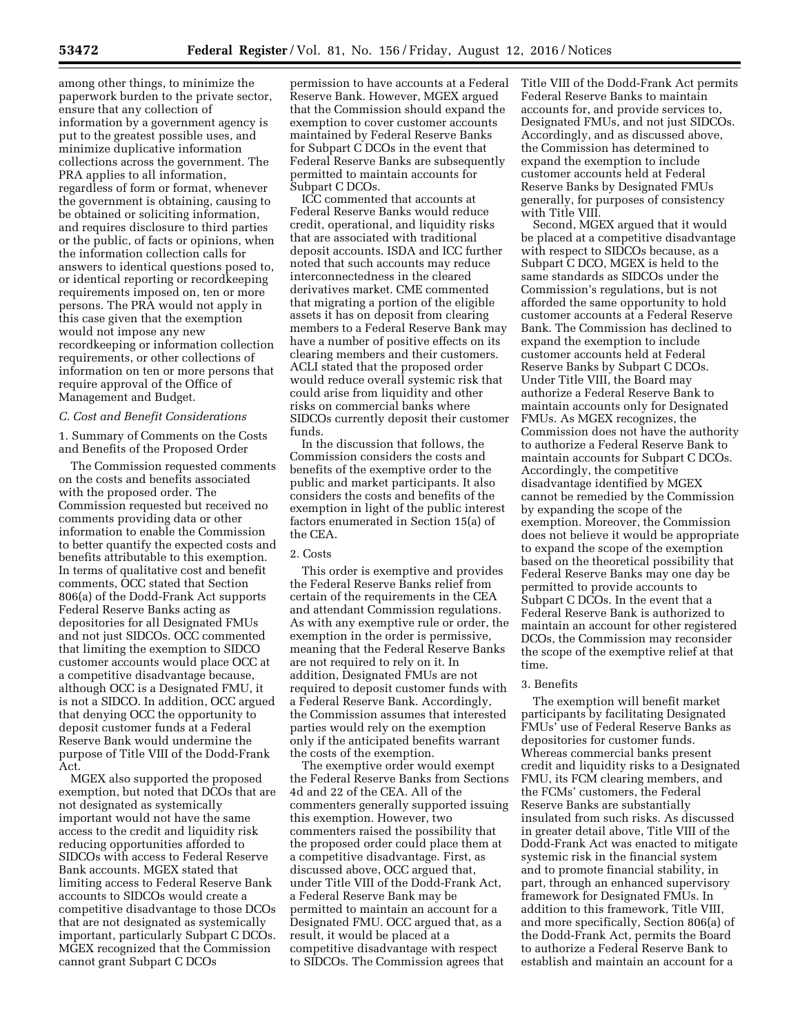among other things, to minimize the paperwork burden to the private sector, ensure that any collection of information by a government agency is put to the greatest possible uses, and minimize duplicative information collections across the government. The PRA applies to all information, regardless of form or format, whenever the government is obtaining, causing to be obtained or soliciting information, and requires disclosure to third parties or the public, of facts or opinions, when the information collection calls for answers to identical questions posed to, or identical reporting or recordkeeping requirements imposed on, ten or more persons. The PRA would not apply in this case given that the exemption would not impose any new recordkeeping or information collection requirements, or other collections of information on ten or more persons that require approval of the Office of Management and Budget.

## *C. Cost and Benefit Considerations*

1. Summary of Comments on the Costs and Benefits of the Proposed Order

The Commission requested comments on the costs and benefits associated with the proposed order. The Commission requested but received no comments providing data or other information to enable the Commission to better quantify the expected costs and benefits attributable to this exemption. In terms of qualitative cost and benefit comments, OCC stated that Section 806(a) of the Dodd-Frank Act supports Federal Reserve Banks acting as depositories for all Designated FMUs and not just SIDCOs. OCC commented that limiting the exemption to SIDCO customer accounts would place OCC at a competitive disadvantage because, although OCC is a Designated FMU, it is not a SIDCO. In addition, OCC argued that denying OCC the opportunity to deposit customer funds at a Federal Reserve Bank would undermine the purpose of Title VIII of the Dodd-Frank Act.

MGEX also supported the proposed exemption, but noted that DCOs that are not designated as systemically important would not have the same access to the credit and liquidity risk reducing opportunities afforded to SIDCOs with access to Federal Reserve Bank accounts. MGEX stated that limiting access to Federal Reserve Bank accounts to SIDCOs would create a competitive disadvantage to those DCOs that are not designated as systemically important, particularly Subpart C DCOs. MGEX recognized that the Commission cannot grant Subpart C DCOs

permission to have accounts at a Federal Reserve Bank. However, MGEX argued that the Commission should expand the exemption to cover customer accounts maintained by Federal Reserve Banks for Subpart C DCOs in the event that Federal Reserve Banks are subsequently permitted to maintain accounts for Subpart C DCOs.

ICC commented that accounts at Federal Reserve Banks would reduce credit, operational, and liquidity risks that are associated with traditional deposit accounts. ISDA and ICC further noted that such accounts may reduce interconnectedness in the cleared derivatives market. CME commented that migrating a portion of the eligible assets it has on deposit from clearing members to a Federal Reserve Bank may have a number of positive effects on its clearing members and their customers. ACLI stated that the proposed order would reduce overall systemic risk that could arise from liquidity and other risks on commercial banks where SIDCOs currently deposit their customer funds.

In the discussion that follows, the Commission considers the costs and benefits of the exemptive order to the public and market participants. It also considers the costs and benefits of the exemption in light of the public interest factors enumerated in Section 15(a) of the CEA.

#### 2. Costs

This order is exemptive and provides the Federal Reserve Banks relief from certain of the requirements in the CEA and attendant Commission regulations. As with any exemptive rule or order, the exemption in the order is permissive, meaning that the Federal Reserve Banks are not required to rely on it. In addition, Designated FMUs are not required to deposit customer funds with a Federal Reserve Bank. Accordingly, the Commission assumes that interested parties would rely on the exemption only if the anticipated benefits warrant the costs of the exemption.

The exemptive order would exempt the Federal Reserve Banks from Sections 4d and 22 of the CEA. All of the commenters generally supported issuing this exemption. However, two commenters raised the possibility that the proposed order could place them at a competitive disadvantage. First, as discussed above, OCC argued that, under Title VIII of the Dodd-Frank Act, a Federal Reserve Bank may be permitted to maintain an account for a Designated FMU. OCC argued that, as a result, it would be placed at a competitive disadvantage with respect to SIDCOs. The Commission agrees that

Title VIII of the Dodd-Frank Act permits Federal Reserve Banks to maintain accounts for, and provide services to, Designated FMUs, and not just SIDCOs. Accordingly, and as discussed above, the Commission has determined to expand the exemption to include customer accounts held at Federal Reserve Banks by Designated FMUs generally, for purposes of consistency with Title VIII.

Second, MGEX argued that it would be placed at a competitive disadvantage with respect to SIDCOs because, as a Subpart C DCO, MGEX is held to the same standards as SIDCOs under the Commission's regulations, but is not afforded the same opportunity to hold customer accounts at a Federal Reserve Bank. The Commission has declined to expand the exemption to include customer accounts held at Federal Reserve Banks by Subpart C DCOs. Under Title VIII, the Board may authorize a Federal Reserve Bank to maintain accounts only for Designated FMUs. As MGEX recognizes, the Commission does not have the authority to authorize a Federal Reserve Bank to maintain accounts for Subpart C DCOs. Accordingly, the competitive disadvantage identified by MGEX cannot be remedied by the Commission by expanding the scope of the exemption. Moreover, the Commission does not believe it would be appropriate to expand the scope of the exemption based on the theoretical possibility that Federal Reserve Banks may one day be permitted to provide accounts to Subpart C DCOs. In the event that a Federal Reserve Bank is authorized to maintain an account for other registered DCOs, the Commission may reconsider the scope of the exemptive relief at that time.

#### 3. Benefits

The exemption will benefit market participants by facilitating Designated FMUs' use of Federal Reserve Banks as depositories for customer funds. Whereas commercial banks present credit and liquidity risks to a Designated FMU, its FCM clearing members, and the FCMs' customers, the Federal Reserve Banks are substantially insulated from such risks. As discussed in greater detail above, Title VIII of the Dodd-Frank Act was enacted to mitigate systemic risk in the financial system and to promote financial stability, in part, through an enhanced supervisory framework for Designated FMUs. In addition to this framework, Title VIII, and more specifically, Section 806(a) of the Dodd-Frank Act, permits the Board to authorize a Federal Reserve Bank to establish and maintain an account for a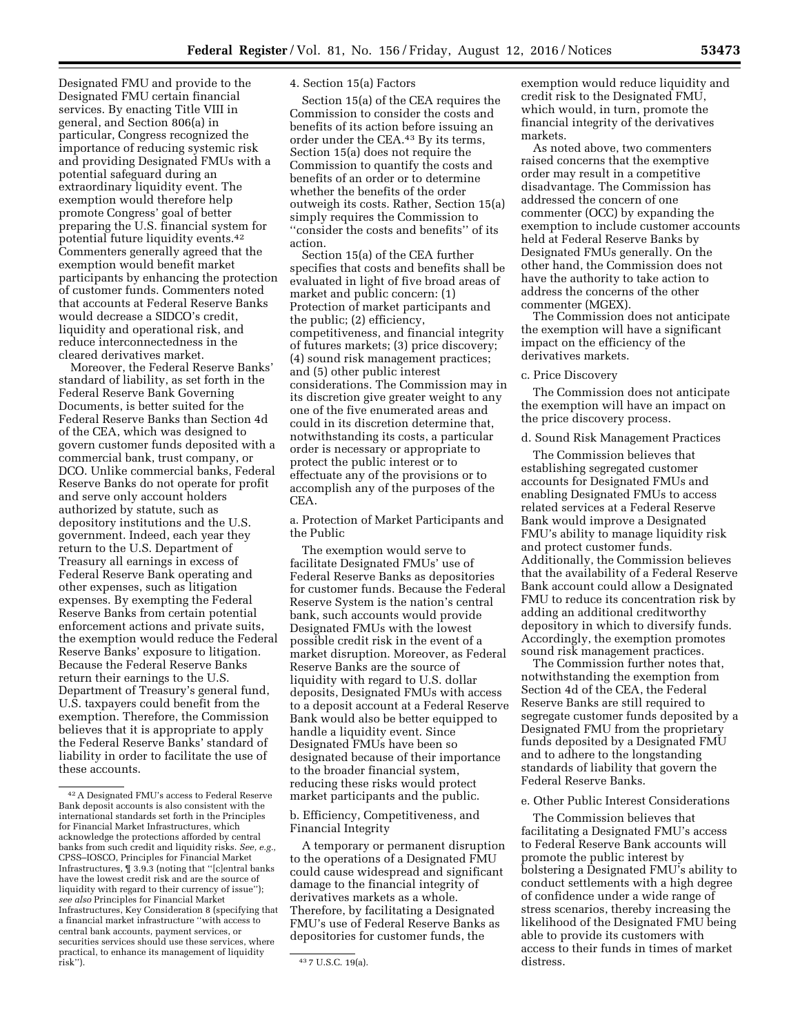Designated FMU and provide to the Designated FMU certain financial services. By enacting Title VIII in general, and Section 806(a) in particular, Congress recognized the importance of reducing systemic risk and providing Designated FMUs with a potential safeguard during an extraordinary liquidity event. The exemption would therefore help promote Congress' goal of better preparing the U.S. financial system for potential future liquidity events.42 Commenters generally agreed that the exemption would benefit market participants by enhancing the protection of customer funds. Commenters noted that accounts at Federal Reserve Banks would decrease a SIDCO's credit, liquidity and operational risk, and reduce interconnectedness in the cleared derivatives market.

Moreover, the Federal Reserve Banks' standard of liability, as set forth in the Federal Reserve Bank Governing Documents, is better suited for the Federal Reserve Banks than Section 4d of the CEA, which was designed to govern customer funds deposited with a commercial bank, trust company, or DCO. Unlike commercial banks, Federal Reserve Banks do not operate for profit and serve only account holders authorized by statute, such as depository institutions and the U.S. government. Indeed, each year they return to the U.S. Department of Treasury all earnings in excess of Federal Reserve Bank operating and other expenses, such as litigation expenses. By exempting the Federal Reserve Banks from certain potential enforcement actions and private suits, the exemption would reduce the Federal Reserve Banks' exposure to litigation. Because the Federal Reserve Banks return their earnings to the U.S. Department of Treasury's general fund, U.S. taxpayers could benefit from the exemption. Therefore, the Commission believes that it is appropriate to apply the Federal Reserve Banks' standard of liability in order to facilitate the use of these accounts.

4. Section 15(a) Factors

Section 15(a) of the CEA requires the Commission to consider the costs and benefits of its action before issuing an order under the CEA.43 By its terms, Section 15(a) does not require the Commission to quantify the costs and benefits of an order or to determine whether the benefits of the order outweigh its costs. Rather, Section 15(a) simply requires the Commission to ''consider the costs and benefits'' of its action.

Section 15(a) of the CEA further specifies that costs and benefits shall be evaluated in light of five broad areas of market and public concern: (1) Protection of market participants and the public; (2) efficiency, competitiveness, and financial integrity of futures markets; (3) price discovery; (4) sound risk management practices; and (5) other public interest considerations. The Commission may in its discretion give greater weight to any one of the five enumerated areas and could in its discretion determine that, notwithstanding its costs, a particular order is necessary or appropriate to protect the public interest or to effectuate any of the provisions or to accomplish any of the purposes of the CEA.

a. Protection of Market Participants and the Public

The exemption would serve to facilitate Designated FMUs' use of Federal Reserve Banks as depositories for customer funds. Because the Federal Reserve System is the nation's central bank, such accounts would provide Designated FMUs with the lowest possible credit risk in the event of a market disruption. Moreover, as Federal Reserve Banks are the source of liquidity with regard to U.S. dollar deposits, Designated FMUs with access to a deposit account at a Federal Reserve Bank would also be better equipped to handle a liquidity event. Since Designated FMUs have been so designated because of their importance to the broader financial system, reducing these risks would protect market participants and the public.

b. Efficiency, Competitiveness, and Financial Integrity

A temporary or permanent disruption to the operations of a Designated FMU could cause widespread and significant damage to the financial integrity of derivatives markets as a whole. Therefore, by facilitating a Designated FMU's use of Federal Reserve Banks as depositories for customer funds, the

exemption would reduce liquidity and credit risk to the Designated FMU, which would, in turn, promote the financial integrity of the derivatives markets.

As noted above, two commenters raised concerns that the exemptive order may result in a competitive disadvantage. The Commission has addressed the concern of one commenter (OCC) by expanding the exemption to include customer accounts held at Federal Reserve Banks by Designated FMUs generally. On the other hand, the Commission does not have the authority to take action to address the concerns of the other commenter (MGEX).

The Commission does not anticipate the exemption will have a significant impact on the efficiency of the derivatives markets.

## c. Price Discovery

The Commission does not anticipate the exemption will have an impact on the price discovery process.

## d. Sound Risk Management Practices

The Commission believes that establishing segregated customer accounts for Designated FMUs and enabling Designated FMUs to access related services at a Federal Reserve Bank would improve a Designated FMU's ability to manage liquidity risk and protect customer funds. Additionally, the Commission believes that the availability of a Federal Reserve Bank account could allow a Designated FMU to reduce its concentration risk by adding an additional creditworthy depository in which to diversify funds. Accordingly, the exemption promotes sound risk management practices.

The Commission further notes that, notwithstanding the exemption from Section 4d of the CEA, the Federal Reserve Banks are still required to segregate customer funds deposited by a Designated FMU from the proprietary funds deposited by a Designated FMU and to adhere to the longstanding standards of liability that govern the Federal Reserve Banks.

### e. Other Public Interest Considerations

The Commission believes that facilitating a Designated FMU's access to Federal Reserve Bank accounts will promote the public interest by bolstering a Designated FMU's ability to conduct settlements with a high degree of confidence under a wide range of stress scenarios, thereby increasing the likelihood of the Designated FMU being able to provide its customers with access to their funds in times of market distress.

<sup>42</sup>A Designated FMU's access to Federal Reserve Bank deposit accounts is also consistent with the international standards set forth in the Principles for Financial Market Infrastructures, which acknowledge the protections afforded by central banks from such credit and liquidity risks. *See, e.g.,*  CPSS–IOSCO, Principles for Financial Market Infrastructures, ¶ 3.9.3 (noting that ''[c]entral banks have the lowest credit risk and are the source of liquidity with regard to their currency of issue''); *see also* Principles for Financial Market Infrastructures, Key Consideration 8 (specifying that a financial market infrastructure ''with access to central bank accounts, payment services, or securities services should use these services, where practical, to enhance its management of liquidity

<sup>43 7</sup> U.S.C. 19(a).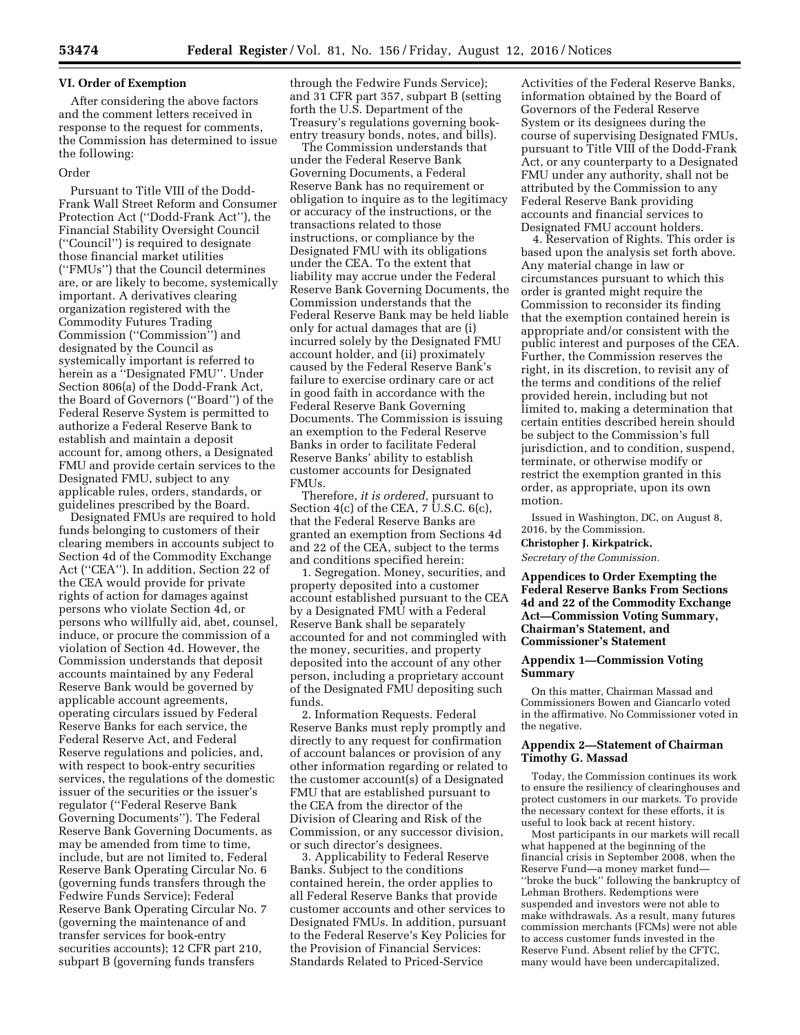## **VI. Order of Exemption**

After considering the above factors and the comment letters received in response to the request for comments, the Commission has determined to issue the following:

# Order

Pursuant to Title VIII of the Dodd-Frank Wall Street Reform and Consumer Protection Act (''Dodd-Frank Act''), the Financial Stability Oversight Council (''Council'') is required to designate those financial market utilities (''FMUs'') that the Council determines are, or are likely to become, systemically important. A derivatives clearing organization registered with the Commodity Futures Trading Commission (''Commission'') and designated by the Council as systemically important is referred to herein as a ''Designated FMU''. Under Section 806(a) of the Dodd-Frank Act, the Board of Governors (''Board'') of the Federal Reserve System is permitted to authorize a Federal Reserve Bank to establish and maintain a deposit account for, among others, a Designated FMU and provide certain services to the Designated FMU, subject to any applicable rules, orders, standards, or guidelines prescribed by the Board.

Designated FMUs are required to hold funds belonging to customers of their clearing members in accounts subject to Section 4d of the Commodity Exchange Act (''CEA''). In addition, Section 22 of the CEA would provide for private rights of action for damages against persons who violate Section 4d, or persons who willfully aid, abet, counsel, induce, or procure the commission of a violation of Section 4d. However, the Commission understands that deposit accounts maintained by any Federal Reserve Bank would be governed by applicable account agreements, operating circulars issued by Federal Reserve Banks for each service, the Federal Reserve Act, and Federal Reserve regulations and policies, and, with respect to book-entry securities services, the regulations of the domestic issuer of the securities or the issuer's regulator (''Federal Reserve Bank Governing Documents''). The Federal Reserve Bank Governing Documents, as may be amended from time to time, include, but are not limited to, Federal Reserve Bank Operating Circular No. 6 (governing funds transfers through the Fedwire Funds Service); Federal Reserve Bank Operating Circular No. 7 (governing the maintenance of and transfer services for book-entry securities accounts); 12 CFR part 210, subpart B (governing funds transfers

through the Fedwire Funds Service); and 31 CFR part 357, subpart B (setting forth the U.S. Department of the Treasury's regulations governing bookentry treasury bonds, notes, and bills).

The Commission understands that under the Federal Reserve Bank Governing Documents, a Federal Reserve Bank has no requirement or obligation to inquire as to the legitimacy or accuracy of the instructions, or the transactions related to those instructions, or compliance by the Designated FMU with its obligations under the CEA. To the extent that liability may accrue under the Federal Reserve Bank Governing Documents, the Commission understands that the Federal Reserve Bank may be held liable only for actual damages that are (i) incurred solely by the Designated FMU account holder, and (ii) proximately caused by the Federal Reserve Bank's failure to exercise ordinary care or act in good faith in accordance with the Federal Reserve Bank Governing Documents. The Commission is issuing an exemption to the Federal Reserve Banks in order to facilitate Federal Reserve Banks' ability to establish customer accounts for Designated FMUs.

Therefore, *it is ordered,* pursuant to Section 4(c) of the CEA, 7 U.S.C. 6(c), that the Federal Reserve Banks are granted an exemption from Sections 4d and 22 of the CEA, subject to the terms and conditions specified herein:

1. Segregation. Money, securities, and property deposited into a customer account established pursuant to the CEA by a Designated FMU with a Federal Reserve Bank shall be separately accounted for and not commingled with the money, securities, and property deposited into the account of any other person, including a proprietary account of the Designated FMU depositing such funds.

2. Information Requests. Federal Reserve Banks must reply promptly and directly to any request for confirmation of account balances or provision of any other information regarding or related to the customer account(s) of a Designated FMU that are established pursuant to the CEA from the director of the Division of Clearing and Risk of the Commission, or any successor division, or such director's designees.

3. Applicability to Federal Reserve Banks. Subject to the conditions contained herein, the order applies to all Federal Reserve Banks that provide customer accounts and other services to Designated FMUs. In addition, pursuant to the Federal Reserve's Key Policies for the Provision of Financial Services: Standards Related to Priced-Service

Activities of the Federal Reserve Banks, information obtained by the Board of Governors of the Federal Reserve System or its designees during the course of supervising Designated FMUs, pursuant to Title VIII of the Dodd-Frank Act, or any counterparty to a Designated FMU under any authority, shall not be attributed by the Commission to any Federal Reserve Bank providing accounts and financial services to Designated FMU account holders.

4. Reservation of Rights. This order is based upon the analysis set forth above. Any material change in law or circumstances pursuant to which this order is granted might require the Commission to reconsider its finding that the exemption contained herein is appropriate and/or consistent with the public interest and purposes of the CEA. Further, the Commission reserves the right, in its discretion, to revisit any of the terms and conditions of the relief provided herein, including but not limited to, making a determination that certain entities described herein should be subject to the Commission's full jurisdiction, and to condition, suspend, terminate, or otherwise modify or restrict the exemption granted in this order, as appropriate, upon its own motion.

Issued in Washington, DC, on August 8, 2016, by the Commission.

#### **Christopher J. Kirkpatrick,**

*Secretary of the Commission.* 

**Appendices to Order Exempting the Federal Reserve Banks From Sections 4d and 22 of the Commodity Exchange Act—Commission Voting Summary, Chairman's Statement, and Commissioner's Statement** 

# **Appendix 1—Commission Voting Summary**

On this matter, Chairman Massad and Commissioners Bowen and Giancarlo voted in the affirmative. No Commissioner voted in the negative.

# **Appendix 2—Statement of Chairman Timothy G. Massad**

Today, the Commission continues its work to ensure the resiliency of clearinghouses and protect customers in our markets. To provide the necessary context for these efforts, it is useful to look back at recent history.

Most participants in our markets will recall what happened at the beginning of the financial crisis in September 2008, when the Reserve Fund—a money market fund— ''broke the buck'' following the bankruptcy of Lehman Brothers. Redemptions were suspended and investors were not able to make withdrawals. As a result, many futures commission merchants (FCMs) were not able to access customer funds invested in the Reserve Fund. Absent relief by the CFTC, many would have been undercapitalized,